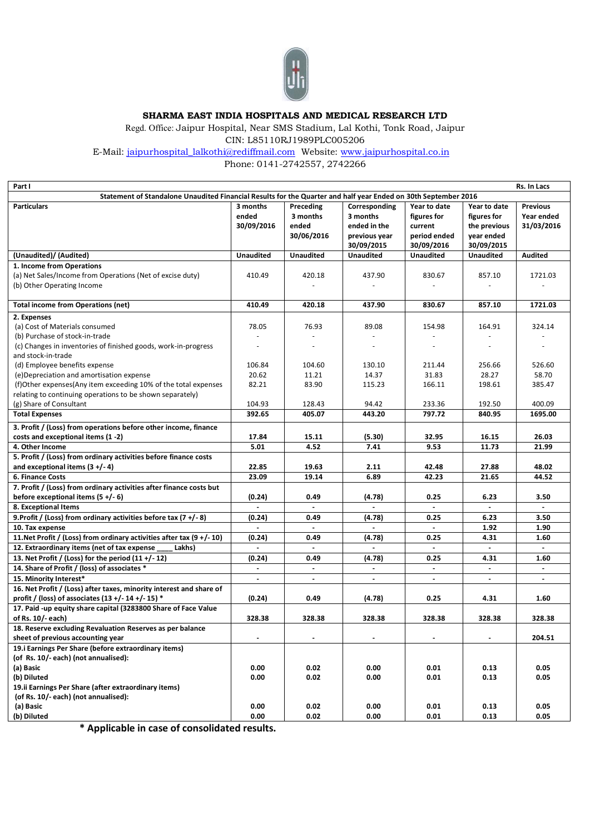

**SHARMA EAST INDIA HOSPITALS AND MEDICAL RESEARCH LTD**

Regd. Office: Jaipur Hospital, Near SMS Stadium, Lal Kothi, Tonk Road, Jaipur CIN: L85110RJ1989PLC005206

E-Mail: [jaipurhospital\\_lalkothi@rediffmail.com](mailto:jaipurhospital_lalkothi@rediffmail.com) Website: [www.jaipurhospital.co.in](http://www.jaipurhospital.co.in/) 

Phone: 0141-2742557, 2742266

| Rs. In Lacs<br>Part I                                                                                          |                  |                          |                          |                  |                  |                 |  |
|----------------------------------------------------------------------------------------------------------------|------------------|--------------------------|--------------------------|------------------|------------------|-----------------|--|
| Statement of Standalone Unaudited Financial Results for the Quarter and half year Ended on 30th September 2016 |                  |                          |                          |                  |                  |                 |  |
| <b>Particulars</b>                                                                                             | 3 months         | Preceding                | Corresponding            | Year to date     | Year to date     | <b>Previous</b> |  |
|                                                                                                                | ended            | 3 months                 | 3 months                 | figures for      | figures for      | Year ended      |  |
|                                                                                                                | 30/09/2016       | ended                    | ended in the             | current          | the previous     | 31/03/2016      |  |
|                                                                                                                |                  | 30/06/2016               | previous year            | period ended     | year ended       |                 |  |
|                                                                                                                |                  |                          | 30/09/2015               | 30/09/2016       | 30/09/2015       |                 |  |
| (Unaudited)/ (Audited)                                                                                         | <b>Unaudited</b> | <b>Unaudited</b>         | <b>Unaudited</b>         | <b>Unaudited</b> | <b>Unaudited</b> | <b>Audited</b>  |  |
| 1. Income from Operations                                                                                      |                  |                          |                          |                  |                  |                 |  |
| (a) Net Sales/Income from Operations (Net of excise duty)                                                      | 410.49           | 420.18                   | 437.90                   | 830.67           | 857.10           | 1721.03         |  |
| (b) Other Operating Income                                                                                     |                  |                          |                          |                  |                  |                 |  |
|                                                                                                                |                  |                          |                          |                  |                  |                 |  |
| <b>Total income from Operations (net)</b>                                                                      | 410.49           | 420.18                   | 437.90                   | 830.67           | 857.10           | 1721.03         |  |
| 2. Expenses                                                                                                    |                  |                          |                          |                  |                  |                 |  |
| (a) Cost of Materials consumed                                                                                 | 78.05            | 76.93                    | 89.08                    | 154.98           | 164.91           | 324.14          |  |
| (b) Purchase of stock-in-trade                                                                                 |                  |                          |                          |                  |                  |                 |  |
| (c) Changes in inventories of finished goods, work-in-progress                                                 | ä,               | $\overline{\phantom{a}}$ | $\overline{\phantom{a}}$ |                  |                  |                 |  |
| and stock-in-trade                                                                                             |                  |                          |                          |                  |                  |                 |  |
| (d) Employee benefits expense                                                                                  | 106.84           | 104.60                   | 130.10                   | 211.44           | 256.66           | 526.60          |  |
| (e) Depreciation and amortisation expense                                                                      | 20.62            | 11.21                    | 14.37                    | 31.83            | 28.27            | 58.70           |  |
| (f)Other expenses(Any item exceeding 10% of the total expenses                                                 | 82.21            | 83.90                    | 115.23                   | 166.11           | 198.61           | 385.47          |  |
| relating to continuing operations to be shown separately)                                                      |                  |                          |                          |                  |                  |                 |  |
| (g) Share of Consultant                                                                                        | 104.93           | 128.43                   | 94.42                    | 233.36           | 192.50           | 400.09          |  |
| <b>Total Expenses</b>                                                                                          | 392.65           | 405.07                   | 443.20                   | 797.72           | 840.95           | 1695.00         |  |
|                                                                                                                |                  |                          |                          |                  |                  |                 |  |
| 3. Profit / (Loss) from operations before other income, finance<br>costs and exceptional items (1 -2)          | 17.84            |                          |                          | 32.95            | 16.15            | 26.03           |  |
|                                                                                                                |                  | 15.11                    | (5.30)                   |                  |                  |                 |  |
| 4. Other Income                                                                                                | 5.01             | 4.52                     | 7.41                     | 9.53             | 11.73            | 21.99           |  |
| 5. Profit / (Loss) from ordinary activities before finance costs                                               |                  |                          |                          |                  |                  |                 |  |
| and exceptional items $(3 + (-4))$                                                                             | 22.85            | 19.63                    | 2.11                     | 42.48            | 27.88            | 48.02           |  |
| <b>6. Finance Costs</b>                                                                                        | 23.09            | 19.14                    | 6.89                     | 42.23            | 21.65            | 44.52           |  |
| 7. Profit / (Loss) from ordinary activities after finance costs but                                            |                  |                          |                          |                  |                  |                 |  |
| before exceptional items $(5 +/-6)$                                                                            | (0.24)           | 0.49                     | (4.78)                   | 0.25             | 6.23             | 3.50            |  |
| 8. Exceptional Items                                                                                           |                  | $\blacksquare$           | $\blacksquare$           | $\blacksquare$   |                  | $\blacksquare$  |  |
| 9. Profit / (Loss) from ordinary activities before tax $(7 + (-8))$                                            | (0.24)           | 0.49                     | (4.78)                   | 0.25             | 6.23             | 3.50            |  |
| 10. Tax expense                                                                                                | $\overline{a}$   |                          | $\sim$                   |                  | 1.92             | 1.90            |  |
| 11. Net Profit / (Loss) from ordinary activities after tax (9 +/-10)                                           | (0.24)           | 0.49                     | (4.78)                   | 0.25             | 4.31             | 1.60            |  |
| 12. Extraordinary items (net of tax expense<br>Lakhs)                                                          |                  |                          |                          |                  |                  |                 |  |
| 13. Net Profit / (Loss) for the period (11 +/-12)                                                              | (0.24)           | 0.49                     | (4.78)                   | 0.25             | 4.31             | 1.60            |  |
| 14. Share of Profit / (loss) of associates *                                                                   |                  |                          |                          |                  |                  |                 |  |
| 15. Minority Interest*                                                                                         | $\blacksquare$   | $\blacksquare$           | $\blacksquare$           | $\blacksquare$   | $\blacksquare$   | $\blacksquare$  |  |
| 16. Net Profit / (Loss) after taxes, minority interest and share of                                            |                  |                          |                          |                  |                  |                 |  |
| profit / (loss) of associates $(13 + (-14) + (-15))$ *                                                         | (0.24)           | 0.49                     | (4.78)                   | 0.25             | 4.31             | 1.60            |  |
| 17. Paid -up equity share capital (3283800 Share of Face Value                                                 |                  |                          |                          |                  |                  |                 |  |
| of Rs. 10/- each)                                                                                              | 328.38           | 328.38                   | 328.38                   | 328.38           | 328.38           | 328.38          |  |
| 18. Reserve excluding Revaluation Reserves as per balance                                                      |                  |                          |                          |                  |                  |                 |  |
| sheet of previous accounting year                                                                              | $\blacksquare$   | $\blacksquare$           | $\sim$                   | $\blacksquare$   | $\blacksquare$   | 204.51          |  |
| 19.i Earnings Per Share (before extraordinary items)                                                           |                  |                          |                          |                  |                  |                 |  |
| (of Rs. 10/- each) (not annualised):                                                                           |                  |                          |                          |                  |                  |                 |  |
| (a) Basic                                                                                                      | 0.00             | 0.02                     | 0.00                     | 0.01             | 0.13             | 0.05            |  |
| (b) Diluted                                                                                                    | 0.00             | 0.02                     | 0.00                     | 0.01             | 0.13             | 0.05            |  |
| 19.ii Earnings Per Share (after extraordinary items)                                                           |                  |                          |                          |                  |                  |                 |  |
| (of Rs. 10/- each) (not annualised):                                                                           |                  |                          |                          |                  |                  |                 |  |
| (a) Basic                                                                                                      | 0.00             | 0.02                     | 0.00                     | 0.01             | 0.13             | 0.05            |  |
| (b) Diluted                                                                                                    | 0.00             | 0.02                     | 0.00                     | 0.01             | 0.13             | 0.05            |  |

**\* Applicable in case of consolidated results.**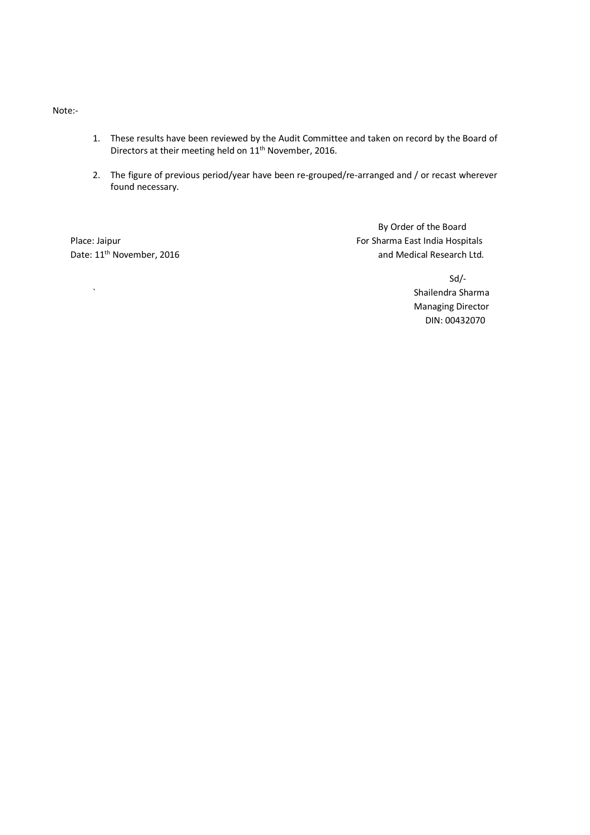Note:-

- 1. These results have been reviewed by the Audit Committee and taken on record by the Board of Directors at their meeting held on 11<sup>th</sup> November, 2016.
- 2. The figure of previous period/year have been re-grouped/re-arranged and / or recast wherever found necessary.

Date: 11<sup>th</sup> November, 2016

By Order of the Board Place: Jaipur For Sharma East India Hospitals and Medical Research Ltd.

Sd/- ` Shailendra Sharma Managing Director DIN: 00432070